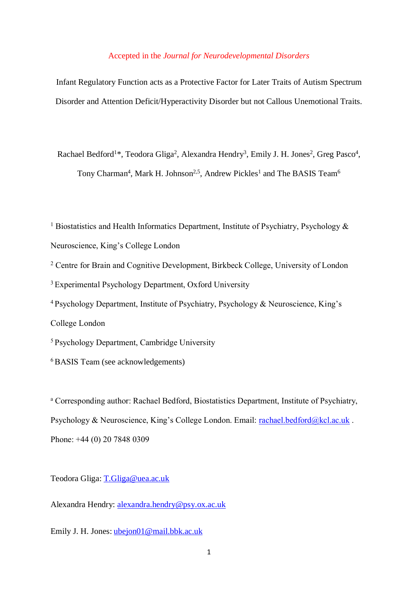# Accepted in the *Journal for Neurodevelopmental Disorders*

Infant Regulatory Function acts as a Protective Factor for Later Traits of Autism Spectrum Disorder and Attention Deficit/Hyperactivity Disorder but not Callous Unemotional Traits.

Rachael Bedford<sup>1\*</sup>, Teodora Gliga<sup>2</sup>, Alexandra Hendry<sup>3</sup>, Emily J. H. Jones<sup>2</sup>, Greg Pasco<sup>4</sup>, Tony Charman<sup>4</sup>, Mark H. Johnson<sup>2,5</sup>, Andrew Pickles<sup>1</sup> and The BASIS Team<sup>6</sup>

<sup>1</sup> Biostatistics and Health Informatics Department, Institute of Psychiatry, Psychology  $\&$ Neuroscience, King's College London <sup>2</sup> Centre for Brain and Cognitive Development, Birkbeck College, University of London <sup>3</sup> Experimental Psychology Department, Oxford University <sup>4</sup>Psychology Department, Institute of Psychiatry, Psychology & Neuroscience, King's College London <sup>5</sup>Psychology Department, Cambridge University

<sup>6</sup>BASIS Team (see acknowledgements)

<sup>a</sup> Corresponding author: Rachael Bedford, Biostatistics Department, Institute of Psychiatry, Psychology & Neuroscience, King's College London. Email: [rachael.bedford@kcl.ac.uk](mailto:rachael.bedford@kcl.ac.uk). Phone: +44 (0) 20 7848 0309

Teodora Gliga: [T.Gliga@uea.ac.uk](mailto:T.Gliga@uea.ac.uk)

Alexandra Hendry: [alexandra.hendry@psy.ox.ac.uk](mailto:alexandra.hendry@psy.ox.ac.uk)

Emily J. H. Jones: [ubejon01@mail.bbk.ac.uk](mailto:ubejon01@mail.bbk.ac.uk)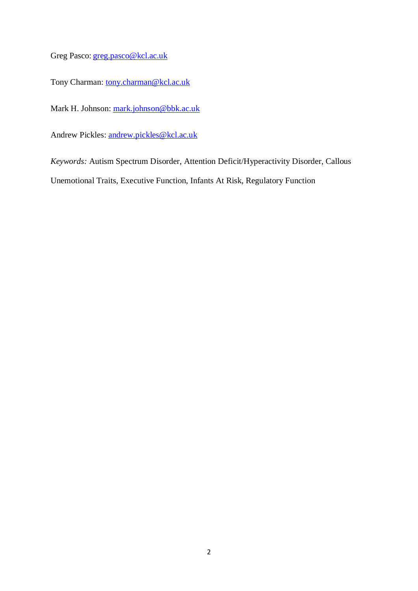Greg Pasco: [greg.pasco@kcl.ac.uk](mailto:greg.pasco@kcl.ac.uk)

Tony Charman: [tony.charman@kcl.ac.uk](mailto:tony.charman@kcl.ac.uk)

Mark H. Johnson: [mark.johnson@bbk.ac.uk](mailto:mark.johnson@bbk.ac.uk)

Andrew Pickles: [andrew.pickles@kcl.ac.uk](mailto:andrew.pickles@kcl.ac.uk)

*Keywords:* Autism Spectrum Disorder, Attention Deficit/Hyperactivity Disorder, Callous

Unemotional Traits, Executive Function, Infants At Risk, Regulatory Function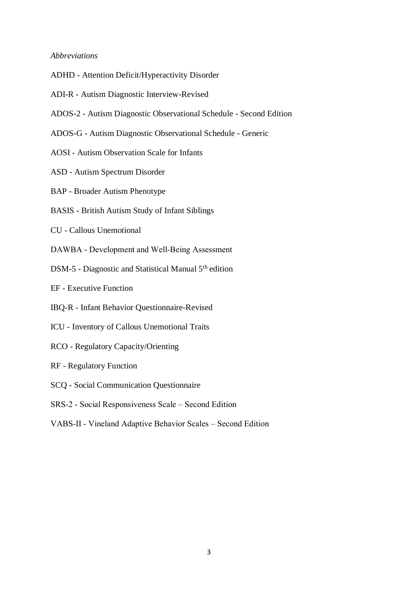## *Abbreviations*

- ADHD Attention Deficit/Hyperactivity Disorder
- ADI-R Autism Diagnostic Interview-Revised
- ADOS-2 Autism Diagnostic Observational Schedule Second Edition
- ADOS-G Autism Diagnostic Observational Schedule Generic
- AOSI Autism Observation Scale for Infants
- ASD Autism Spectrum Disorder
- BAP Broader Autism Phenotype
- BASIS British Autism Study of Infant Siblings
- CU Callous Unemotional
- DAWBA Development and Well-Being Assessment
- DSM-5 Diagnostic and Statistical Manual 5<sup>th</sup> edition
- EF Executive Function
- IBQ-R Infant Behavior Questionnaire-Revised
- ICU Inventory of Callous Unemotional Traits
- RCO Regulatory Capacity/Orienting
- RF Regulatory Function
- SCQ Social Communication Questionnaire
- SRS-2 Social Responsiveness Scale Second Edition
- VABS-II Vineland Adaptive Behavior Scales Second Edition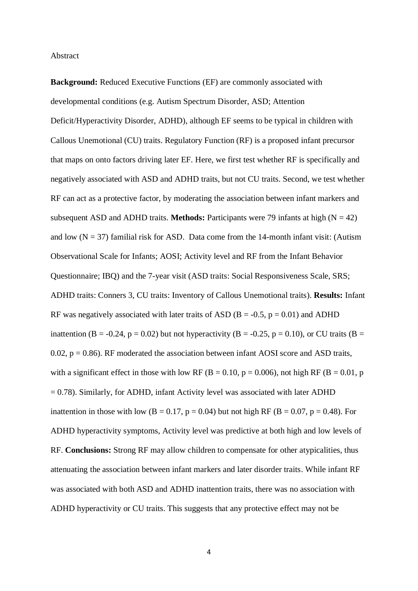## Abstract

**Background:** Reduced Executive Functions (EF) are commonly associated with developmental conditions (e.g. Autism Spectrum Disorder, ASD; Attention Deficit/Hyperactivity Disorder, ADHD), although EF seems to be typical in children with Callous Unemotional (CU) traits. Regulatory Function (RF) is a proposed infant precursor that maps on onto factors driving later EF. Here, we first test whether RF is specifically and negatively associated with ASD and ADHD traits, but not CU traits. Second, we test whether RF can act as a protective factor, by moderating the association between infant markers and subsequent ASD and ADHD traits. **Methods:** Participants were 79 infants at high  $(N = 42)$ and low  $(N = 37)$  familial risk for ASD. Data come from the 14-month infant visit: (Autism Observational Scale for Infants; AOSI; Activity level and RF from the Infant Behavior Questionnaire; IBQ) and the 7-year visit (ASD traits: Social Responsiveness Scale, SRS; ADHD traits: Conners 3, CU traits: Inventory of Callous Unemotional traits). **Results:** Infant RF was negatively associated with later traits of ASD ( $B = -0.5$ ,  $p = 0.01$ ) and ADHD inattention (B = -0.24, p = 0.02) but not hyperactivity (B = -0.25, p = 0.10), or CU traits (B = 0.02,  $p = 0.86$ ). RF moderated the association between infant AOSI score and ASD traits, with a significant effect in those with low RF (B = 0.10, p = 0.006), not high RF (B = 0.01, p  $= 0.78$ ). Similarly, for ADHD, infant Activity level was associated with later ADHD inattention in those with low (B = 0.17, p = 0.04) but not high RF (B = 0.07, p = 0.48). For ADHD hyperactivity symptoms, Activity level was predictive at both high and low levels of RF. **Conclusions:** Strong RF may allow children to compensate for other atypicalities, thus attenuating the association between infant markers and later disorder traits. While infant RF was associated with both ASD and ADHD inattention traits, there was no association with ADHD hyperactivity or CU traits. This suggests that any protective effect may not be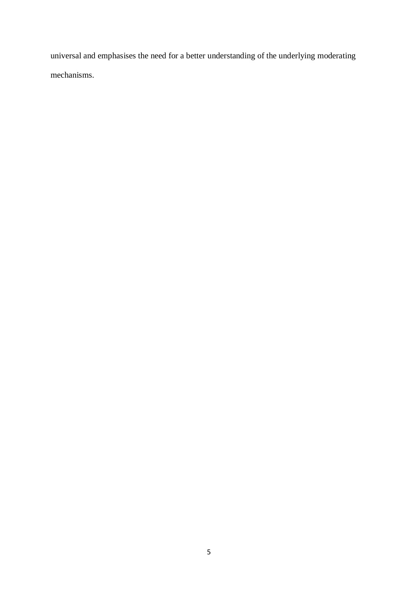universal and emphasises the need for a better understanding of the underlying moderating mechanisms.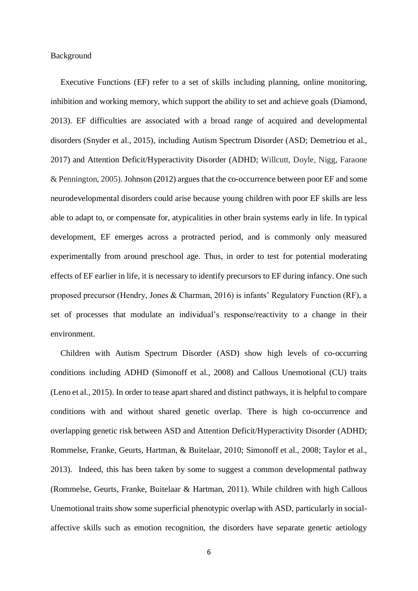## Background

Executive Functions (EF) refer to a set of skills including planning, online monitoring, inhibition and working memory, which support the ability to set and achieve goals (Diamond, 2013). EF difficulties are associated with a broad range of acquired and developmental disorders (Snyder et al., 2015), including Autism Spectrum Disorder (ASD; Demetriou et al., 2017) and Attention Deficit/Hyperactivity Disorder (ADHD; Willcutt, Doyle, Nigg, Faraone & Pennington, 2005). Johnson (2012) argues that the co-occurrence between poor EF and some neurodevelopmental disorders could arise because young children with poor EF skills are less able to adapt to, or compensate for, atypicalities in other brain systems early in life. In typical development, EF emerges across a protracted period, and is commonly only measured experimentally from around preschool age. Thus, in order to test for potential moderating effects of EF earlier in life, it is necessary to identify precursors to EF during infancy. One such proposed precursor (Hendry, Jones & Charman, 2016) is infants' Regulatory Function (RF), a set of processes that modulate an individual's response/reactivity to a change in their environment.

Children with Autism Spectrum Disorder (ASD) show high levels of co-occurring conditions including ADHD (Simonoff et al., 2008) and Callous Unemotional (CU) traits (Leno et al., 2015). In order to tease apart shared and distinct pathways, it is helpful to compare conditions with and without shared genetic overlap. There is high co-occurrence and overlapping genetic risk between ASD and Attention Deficit/Hyperactivity Disorder (ADHD; Rommelse, Franke, Geurts, Hartman, & Buitelaar, 2010; Simonoff et al., 2008; Taylor et al., 2013). Indeed, this has been taken by some to suggest a common developmental pathway (Rommelse, Geurts, Franke, Buitelaar & Hartman, 2011). While children with high Callous Unemotional traits show some superficial phenotypic overlap with ASD, particularly in socialaffective skills such as emotion recognition, the disorders have separate genetic aetiology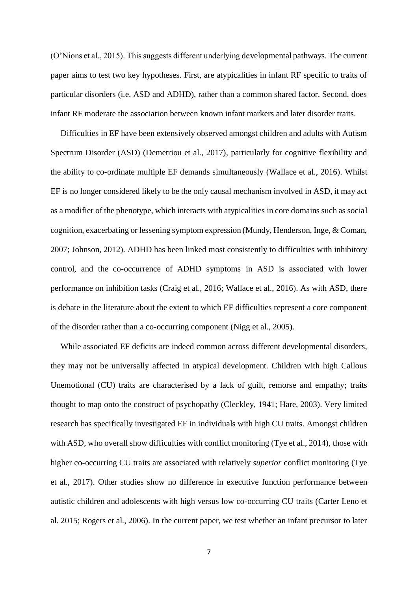(O'Nions et al., 2015). This suggests different underlying developmental pathways. The current paper aims to test two key hypotheses. First, are atypicalities in infant RF specific to traits of particular disorders (i.e. ASD and ADHD), rather than a common shared factor. Second, does infant RF moderate the association between known infant markers and later disorder traits.

Difficulties in EF have been extensively observed amongst children and adults with Autism Spectrum Disorder (ASD) (Demetriou et al., 2017), particularly for cognitive flexibility and the ability to co-ordinate multiple EF demands simultaneously (Wallace et al., 2016). Whilst EF is no longer considered likely to be the only causal mechanism involved in ASD, it may act as a modifier of the phenotype, which interacts with atypicalities in core domains such as social cognition, exacerbating or lessening symptom expression (Mundy, Henderson, Inge, & Coman, 2007; Johnson, 2012). ADHD has been linked most consistently to difficulties with inhibitory control, and the co-occurrence of ADHD symptoms in ASD is associated with lower performance on inhibition tasks (Craig et al., 2016; Wallace et al., 2016). As with ASD, there is debate in the literature about the extent to which EF difficulties represent a core component of the disorder rather than a co-occurring component (Nigg et al., 2005).

While associated EF deficits are indeed common across different developmental disorders, they may not be universally affected in atypical development. Children with high Callous Unemotional (CU) traits are characterised by a lack of guilt, remorse and empathy; traits thought to map onto the construct of psychopathy (Cleckley, 1941; Hare, 2003). Very limited research has specifically investigated EF in individuals with high CU traits. Amongst children with ASD, who overall show difficulties with conflict monitoring (Tye et al., 2014), those with higher co-occurring CU traits are associated with relatively *superior* conflict monitoring (Tye et al., 2017). Other studies show no difference in executive function performance between autistic children and adolescents with high versus low co-occurring CU traits (Carter Leno et al. 2015; Rogers et al., 2006). In the current paper, we test whether an infant precursor to later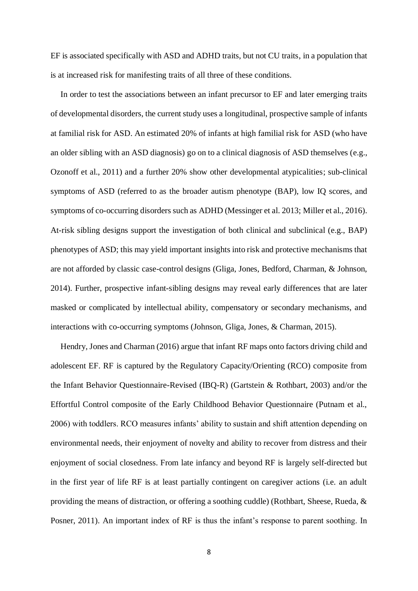EF is associated specifically with ASD and ADHD traits, but not CU traits, in a population that is at increased risk for manifesting traits of all three of these conditions.

In order to test the associations between an infant precursor to EF and later emerging traits of developmental disorders, the current study uses a longitudinal, prospective sample of infants at familial risk for ASD. An estimated 20% of infants at high familial risk for ASD (who have an older sibling with an ASD diagnosis) go on to a clinical diagnosis of ASD themselves (e.g., Ozonoff et al., 2011) and a further 20% show other developmental atypicalities; sub-clinical symptoms of ASD (referred to as the broader autism phenotype (BAP), low IQ scores, and symptoms of co-occurring disorders such as ADHD (Messinger et al. 2013; Miller et al., 2016). At-risk sibling designs support the investigation of both clinical and subclinical (e.g., BAP) phenotypes of ASD; this may yield important insights into risk and protective mechanisms that are not afforded by classic case-control designs (Gliga, Jones, Bedford, Charman, & Johnson, 2014). Further, prospective infant-sibling designs may reveal early differences that are later masked or complicated by intellectual ability, compensatory or secondary mechanisms, and interactions with co-occurring symptoms (Johnson, Gliga, Jones, & Charman, 2015).

Hendry, Jones and Charman (2016) argue that infant RF maps onto factors driving child and adolescent EF. RF is captured by the Regulatory Capacity/Orienting (RCO) composite from the Infant Behavior Questionnaire-Revised (IBQ-R) (Gartstein & Rothbart, 2003) and/or the Effortful Control composite of the Early Childhood Behavior Questionnaire (Putnam et al., 2006) with toddlers. RCO measures infants' ability to sustain and shift attention depending on environmental needs, their enjoyment of novelty and ability to recover from distress and their enjoyment of social closedness. From late infancy and beyond RF is largely self-directed but in the first year of life RF is at least partially contingent on caregiver actions (i.e. an adult providing the means of distraction, or offering a soothing cuddle) (Rothbart, Sheese, Rueda, & Posner, 2011). An important index of RF is thus the infant's response to parent soothing. In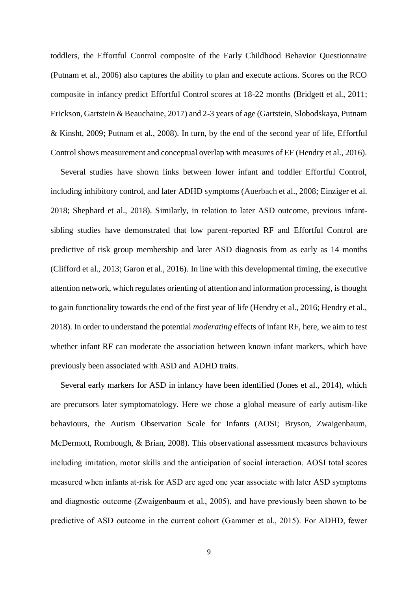toddlers, the Effortful Control composite of the Early Childhood Behavior Questionnaire (Putnam et al., 2006) also captures the ability to plan and execute actions. Scores on the RCO composite in infancy predict Effortful Control scores at 18-22 months (Bridgett et al., 2011; Erickson, Gartstein & Beauchaine, 2017) and 2-3 years of age (Gartstein, Slobodskaya, Putnam & Kinsht, 2009; Putnam et al., 2008). In turn, by the end of the second year of life, Effortful Control shows measurement and conceptual overlap with measures of EF (Hendry et al., 2016).

Several studies have shown links between lower infant and toddler Effortful Control, including inhibitory control, and later ADHD symptoms (Auerbach et al., 2008; Einziger et al. 2018; Shephard et al., 2018). Similarly, in relation to later ASD outcome, previous infantsibling studies have demonstrated that low parent-reported RF and Effortful Control are predictive of risk group membership and later ASD diagnosis from as early as 14 months (Clifford et al., 2013; Garon et al., 2016). In line with this developmental timing, the executive attention network, which regulates orienting of attention and information processing, is thought to gain functionality towards the end of the first year of life (Hendry et al., 2016; Hendry et al., 2018). In order to understand the potential *moderating* effects of infant RF, here, we aim to test whether infant RF can moderate the association between known infant markers, which have previously been associated with ASD and ADHD traits.

Several early markers for ASD in infancy have been identified (Jones et al., 2014), which are precursors later symptomatology. Here we chose a global measure of early autism-like behaviours, the Autism Observation Scale for Infants (AOSI; Bryson, Zwaigenbaum, McDermott, Rombough, & Brian, 2008). This observational assessment measures behaviours including imitation, motor skills and the anticipation of social interaction. AOSI total scores measured when infants at-risk for ASD are aged one year associate with later ASD symptoms and diagnostic outcome (Zwaigenbaum et al., 2005), and have previously been shown to be predictive of ASD outcome in the current cohort (Gammer et al., 2015). For ADHD, fewer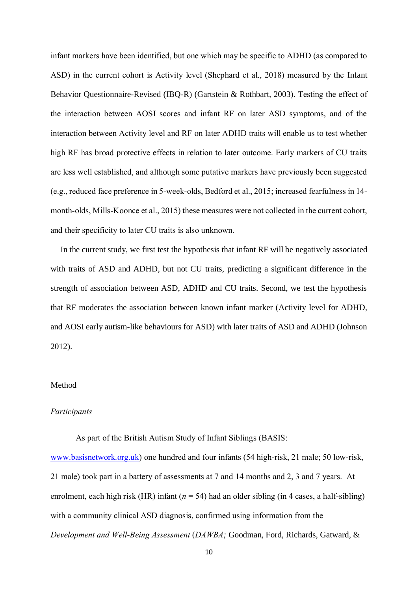infant markers have been identified, but one which may be specific to ADHD (as compared to ASD) in the current cohort is Activity level (Shephard et al., 2018) measured by the Infant Behavior Questionnaire-Revised (IBQ-R) (Gartstein & Rothbart, 2003). Testing the effect of the interaction between AOSI scores and infant RF on later ASD symptoms, and of the interaction between Activity level and RF on later ADHD traits will enable us to test whether high RF has broad protective effects in relation to later outcome. Early markers of CU traits are less well established, and although some putative markers have previously been suggested (e.g., reduced face preference in 5-week-olds, Bedford et al., 2015; increased fearfulness in 14 month-olds, Mills-Koonce et al., 2015) these measures were not collected in the current cohort, and their specificity to later CU traits is also unknown.

In the current study, we first test the hypothesis that infant RF will be negatively associated with traits of ASD and ADHD, but not CU traits, predicting a significant difference in the strength of association between ASD, ADHD and CU traits. Second, we test the hypothesis that RF moderates the association between known infant marker (Activity level for ADHD, and AOSI early autism-like behaviours for ASD) with later traits of ASD and ADHD (Johnson 2012).

## Method

## *Participants*

As part of the British Autism Study of Infant Siblings (BASIS: [www.basisnetwork.org.uk\)](http://www.basisnetwork.org.uk/) one hundred and four infants (54 high-risk, 21 male; 50 low-risk, 21 male) took part in a battery of assessments at 7 and 14 months and 2, 3 and 7 years. At enrolment, each high risk (HR) infant (*n* = 54) had an older sibling (in 4 cases, a half-sibling) with a community clinical ASD diagnosis, confirmed using information from the *Development and Well-Being Assessment* (*DAWBA;* Goodman, Ford, Richards, Gatward, &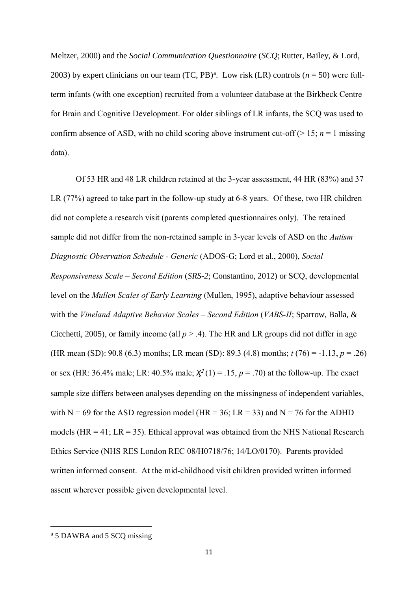Meltzer, 2000) and the *Social Communication Questionnaire* (*SCQ*;Rutter, Bailey, & Lord, 2003) by expert clinicians on our team  $(TC, PB)^a$ . Low risk  $(LR)$  controls  $(n = 50)$  were fullterm infants (with one exception) recruited from a volunteer database at the Birkbeck Centre for Brain and Cognitive Development. For older siblings of LR infants, the SCQ was used to confirm absence of ASD, with no child scoring above instrument cut-off ( $\geq 15$ ; *n* = 1 missing data).

Of 53 HR and 48 LR children retained at the 3-year assessment, 44 HR (83%) and 37 LR (77%) agreed to take part in the follow-up study at 6-8 years. Of these, two HR children did not complete a research visit (parents completed questionnaires only). The retained sample did not differ from the non-retained sample in 3-year levels of ASD on the *Autism Diagnostic Observation Schedule - Generic* (ADOS-G; Lord et al., 2000), *Social Responsiveness Scale – Second Edition* (*SRS-2*; Constantino, 2012) or SCQ, developmental level on the *Mullen Scales of Early Learning* (Mullen, 1995), adaptive behaviour assessed with the *Vineland Adaptive Behavior Scales – Second Edition* (*VABS-II*; Sparrow, Balla, & Cicchetti, 2005), or family income (all  $p > .4$ ). The HR and LR groups did not differ in age (HR mean (SD): 90.8 (6.3) months; LR mean (SD): 89.3 (4.8) months; *t* (76) = -1.13, *p* = .26) or sex (HR: 36.4% male; LR: 40.5% male;  $\chi^2(1) = .15$ ,  $p = .70$ ) at the follow-up. The exact sample size differs between analyses depending on the missingness of independent variables, with  $N = 69$  for the ASD regression model (HR = 36; LR = 33) and  $N = 76$  for the ADHD models (HR = 41;  $LR = 35$ ). Ethical approval was obtained from the NHS National Research Ethics Service (NHS RES London REC 08/H0718/76; 14/LO/0170). Parents provided written informed consent. At the mid-childhood visit children provided written informed assent wherever possible given developmental level.

.

<sup>&</sup>lt;sup>a</sup> 5 DAWBA and 5 SCO missing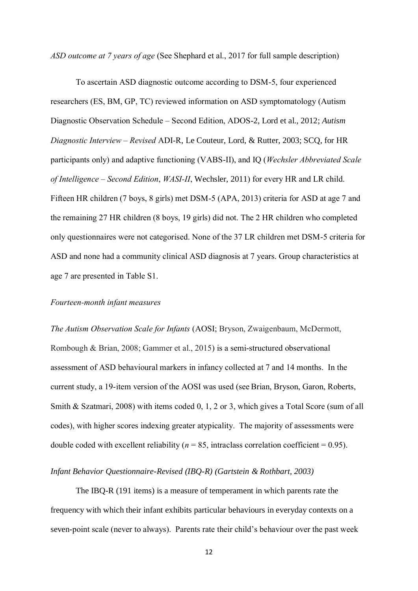*ASD outcome at 7 years of age* (See Shephard et al., 2017 for full sample description)

To ascertain ASD diagnostic outcome according to DSM-5, four experienced researchers (ES, BM, GP, TC) reviewed information on ASD symptomatology (Autism Diagnostic Observation Schedule – Second Edition, ADOS-2, Lord et al., 2012; *Autism Diagnostic Interview – Revised* ADI-R, Le Couteur, Lord, & Rutter, 2003; SCQ, for HR participants only) and adaptive functioning (VABS-II), and IQ (*Wechsler Abbreviated Scale of Intelligence – Second Edition*, *WASI-II*, Wechsler, 2011) for every HR and LR child. Fifteen HR children (7 boys, 8 girls) met DSM-5 (APA, 2013) criteria for ASD at age 7 and the remaining 27 HR children (8 boys, 19 girls) did not. The 2 HR children who completed only questionnaires were not categorised. None of the 37 LR children met DSM-5 criteria for ASD and none had a community clinical ASD diagnosis at 7 years. Group characteristics at age 7 are presented in Table S1.

## *Fourteen-month infant measures*

*The Autism Observation Scale for Infants* (AOSI; Bryson, Zwaigenbaum, McDermott, Rombough & Brian, 2008; Gammer et al., 2015) is a semi-structured observational assessment of ASD behavioural markers in infancy collected at 7 and 14 months. In the current study, a 19-item version of the AOSI was used (see Brian, Bryson, Garon, Roberts, Smith & Szatmari, 2008) with items coded 0, 1, 2 or 3, which gives a Total Score (sum of all codes), with higher scores indexing greater atypicality. The majority of assessments were double coded with excellent reliability ( $n = 85$ , intraclass correlation coefficient = 0.95).

# *Infant Behavior Questionnaire-Revised (IBQ-R) (Gartstein & Rothbart, 2003)*

The IBQ-R (191 items) is a measure of temperament in which parents rate the frequency with which their infant exhibits particular behaviours in everyday contexts on a seven-point scale (never to always). Parents rate their child's behaviour over the past week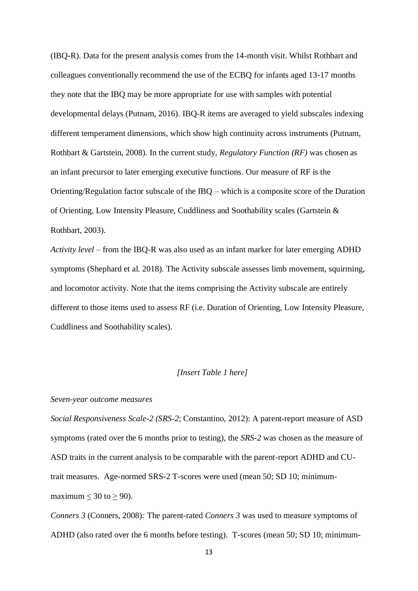(IBQ-R). Data for the present analysis comes from the 14-month visit. Whilst Rothbart and colleagues conventionally recommend the use of the ECBQ for infants aged 13-17 months they note that the IBQ may be more appropriate for use with samples with potential developmental delays (Putnam, 2016). IBQ-R items are averaged to yield subscales indexing different temperament dimensions, which show high continuity across instruments (Putnam, Rothbart & Gartstein, 2008). In the current study, *Regulatory Function (RF)* was chosen as an infant precursor to later emerging executive functions. Our measure of RF is the Orienting/Regulation factor subscale of the IBQ – which is a composite score of the Duration of Orienting, Low Intensity Pleasure, Cuddliness and Soothability scales (Gartstein & Rothbart, 2003).

*Activity level* – from the IBQ-R was also used as an infant marker for later emerging ADHD symptoms (Shephard et al. 2018). The Activity subscale assesses limb movement, squirming, and locomotor activity. Note that the items comprising the Activity subscale are entirely different to those items used to assess RF (i.e. Duration of Orienting, Low Intensity Pleasure, Cuddliness and Soothability scales).

# *[Insert Table 1 here]*

#### *Seven-year outcome measures*

*Social Responsiveness Scale-2 (SRS-2*; Constantino, 2012): A parent-report measure of ASD symptoms (rated over the 6 months prior to testing), the *SRS-2* was chosen as the measure of ASD traits in the current analysis to be comparable with the parent-report ADHD and CUtrait measures. Age-normed SRS-2 T-scores were used (mean 50; SD 10; minimummaximum  $<$  30 to  $>$  90).

*Conners 3* (Conners, 2008)*:* The parent-rated *Conners 3* was used to measure symptoms of ADHD (also rated over the 6 months before testing). T-scores (mean 50; SD 10; minimum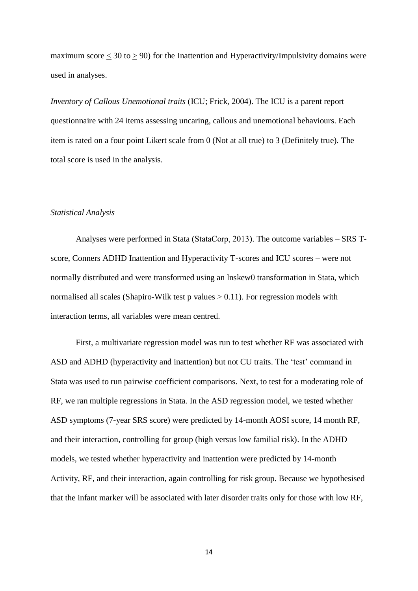maximum score  $\leq 30$  to  $\geq 90$ ) for the Inattention and Hyperactivity/Impulsivity domains were used in analyses.

*Inventory of Callous Unemotional traits* (ICU; Frick, 2004). The ICU is a parent report questionnaire with 24 items assessing uncaring, callous and unemotional behaviours. Each item is rated on a four point Likert scale from 0 (Not at all true) to 3 (Definitely true). The total score is used in the analysis.

## *Statistical Analysis*

Analyses were performed in Stata (StataCorp, 2013). The outcome variables – SRS Tscore, Conners ADHD Inattention and Hyperactivity T-scores and ICU scores – were not normally distributed and were transformed using an lnskew0 transformation in Stata, which normalised all scales (Shapiro-Wilk test p values  $> 0.11$ ). For regression models with interaction terms, all variables were mean centred.

First, a multivariate regression model was run to test whether RF was associated with ASD and ADHD (hyperactivity and inattention) but not CU traits. The 'test' command in Stata was used to run pairwise coefficient comparisons. Next, to test for a moderating role of RF, we ran multiple regressions in Stata. In the ASD regression model, we tested whether ASD symptoms (7-year SRS score) were predicted by 14-month AOSI score, 14 month RF, and their interaction, controlling for group (high versus low familial risk). In the ADHD models, we tested whether hyperactivity and inattention were predicted by 14-month Activity, RF, and their interaction, again controlling for risk group. Because we hypothesised that the infant marker will be associated with later disorder traits only for those with low RF,

14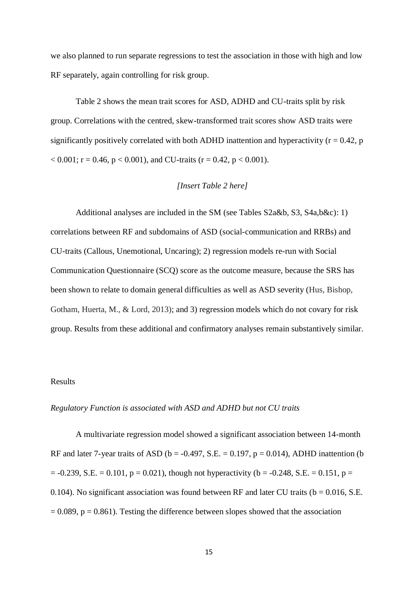we also planned to run separate regressions to test the association in those with high and low RF separately, again controlling for risk group.

Table 2 shows the mean trait scores for ASD, ADHD and CU-traits split by risk group. Correlations with the centred, skew-transformed trait scores show ASD traits were significantly positively correlated with both ADHD inattention and hyperactivity ( $r = 0.42$ , p  $< 0.001$ ; r = 0.46, p  $< 0.001$ ), and CU-traits (r = 0.42, p  $< 0.001$ ).

## *[Insert Table 2 here]*

Additional analyses are included in the SM (see Tables S2a&b, S3, S4a,b&c): 1) correlations between RF and subdomains of ASD (social-communication and RRBs) and CU-traits (Callous, Unemotional, Uncaring); 2) regression models re-run with Social Communication Questionnaire (SCQ) score as the outcome measure, because the SRS has been shown to relate to domain general difficulties as well as ASD severity (Hus, Bishop, Gotham, Huerta, M., & Lord, 2013); and 3) regression models which do not covary for risk group. Results from these additional and confirmatory analyses remain substantively similar.

# Results

#### *Regulatory Function is associated with ASD and ADHD but not CU traits*

A multivariate regression model showed a significant association between 14-month RF and later 7-year traits of ASD ( $b = -0.497$ , S.E. = 0.197,  $p = 0.014$ ), ADHD inattention (b)  $= -0.239$ , S.E.  $= 0.101$ ,  $p = 0.021$ ), though not hyperactivity (b = -0.248, S.E.  $= 0.151$ , p = 0.104). No significant association was found between RF and later CU traits ( $b = 0.016$ , S.E.  $= 0.089$ ,  $p = 0.861$ ). Testing the difference between slopes showed that the association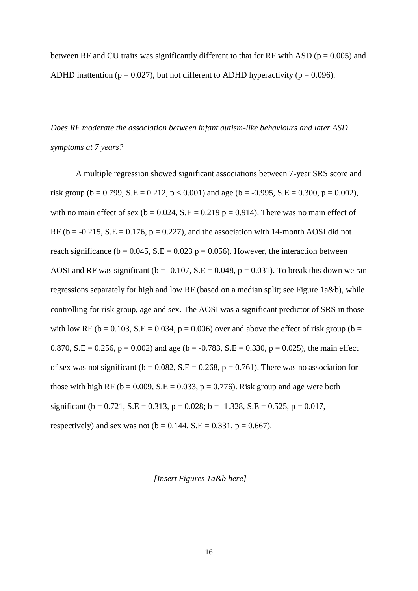between RF and CU traits was significantly different to that for RF with ASD ( $p = 0.005$ ) and ADHD inattention ( $p = 0.027$ ), but not different to ADHD hyperactivity ( $p = 0.096$ ).

*Does RF moderate the association between infant autism-like behaviours and later ASD symptoms at 7 years?* 

A multiple regression showed significant associations between 7-year SRS score and risk group (b = 0.799, S.E = 0.212, p < 0.001) and age (b = -0.995, S.E = 0.300, p = 0.002), with no main effect of sex ( $b = 0.024$ , S.E = 0.219 p = 0.914). There was no main effect of RF ( $b = -0.215$ , S.E = 0.176,  $p = 0.227$ ), and the association with 14-month AOSI did not reach significance ( $b = 0.045$ , S.E = 0.023 p = 0.056). However, the interaction between AOSI and RF was significant ( $b = -0.107$ , S.E = 0.048,  $p = 0.031$ ). To break this down we ran regressions separately for high and low RF (based on a median split; see Figure 1a&b), while controlling for risk group, age and sex. The AOSI was a significant predictor of SRS in those with low RF ( $b = 0.103$ , S.E = 0.034,  $p = 0.006$ ) over and above the effect of risk group ( $b =$ 0.870, S.E = 0.256,  $p = 0.002$ ) and age (b = -0.783, S.E = 0.330, p = 0.025), the main effect of sex was not significant ( $b = 0.082$ ,  $S.E = 0.268$ ,  $p = 0.761$ ). There was no association for those with high RF ( $b = 0.009$ , S.E = 0.033,  $p = 0.776$ ). Risk group and age were both significant (b = 0.721, S.E = 0.313, p = 0.028; b = -1.328, S.E = 0.525, p = 0.017, respectively) and sex was not  $(b = 0.144, S.E = 0.331, p = 0.667)$ .

#### *[Insert Figures 1a&b here]*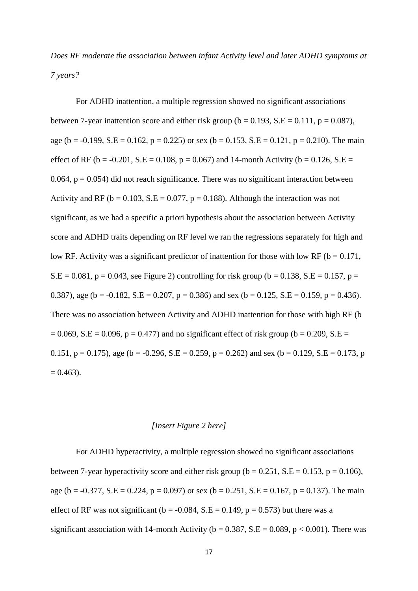*Does RF moderate the association between infant Activity level and later ADHD symptoms at 7 years?* 

For ADHD inattention, a multiple regression showed no significant associations between 7-year inattention score and either risk group ( $b = 0.193$ ,  $S.E = 0.111$ ,  $p = 0.087$ ), age (b = -0.199, S.E = 0.162, p = 0.225) or sex (b = 0.153, S.E = 0.121, p = 0.210). The main effect of RF (b = -0.201, S.E = 0.108, p = 0.067) and 14-month Activity (b = 0.126, S.E = 0.064,  $p = 0.054$ ) did not reach significance. There was no significant interaction between Activity and RF ( $b = 0.103$ , S.E = 0.077,  $p = 0.188$ ). Although the interaction was not significant, as we had a specific a priori hypothesis about the association between Activity score and ADHD traits depending on RF level we ran the regressions separately for high and low RF. Activity was a significant predictor of inattention for those with low RF ( $b = 0.171$ ,  $S.E = 0.081$ ,  $p = 0.043$ , see Figure 2) controlling for risk group (b = 0.138, S.E = 0.157, p = 0.387), age (b = -0.182, S.E = 0.207, p = 0.386) and sex (b = 0.125, S.E = 0.159, p = 0.436). There was no association between Activity and ADHD inattention for those with high RF (b  $= 0.069$ , S.E = 0.096, p = 0.477) and no significant effect of risk group (b = 0.209, S.E = 0.151,  $p = 0.175$ ), age (b = -0.296, S.E = 0.259,  $p = 0.262$ ) and sex (b = 0.129, S.E = 0.173, p  $= 0.463$ .

# *[Insert Figure 2 here]*

For ADHD hyperactivity, a multiple regression showed no significant associations between 7-year hyperactivity score and either risk group ( $b = 0.251$ ,  $S.E = 0.153$ ,  $p = 0.106$ ), age (b = -0.377, S.E = 0.224, p = 0.097) or sex (b = 0.251, S.E = 0.167, p = 0.137). The main effect of RF was not significant ( $b = -0.084$ , S.E = 0.149, p = 0.573) but there was a significant association with 14-month Activity ( $b = 0.387$ , S.E = 0.089, p < 0.001). There was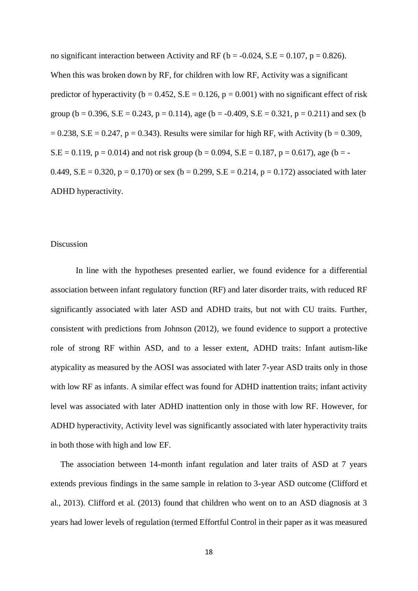no significant interaction between Activity and RF ( $b = -0.024$ , S.E = 0.107,  $p = 0.826$ ). When this was broken down by RF, for children with low RF, Activity was a significant predictor of hyperactivity ( $b = 0.452$ ,  $S.E = 0.126$ ,  $p = 0.001$ ) with no significant effect of risk group (b = 0.396, S.E = 0.243, p = 0.114), age (b = -0.409, S.E = 0.321, p = 0.211) and sex (b  $= 0.238$ , S.E = 0.247, p = 0.343). Results were similar for high RF, with Activity (b = 0.309,  $S.E = 0.119$ ,  $p = 0.014$ ) and not risk group (b = 0.094, S.E = 0.187, p = 0.617), age (b = -0.449, S.E = 0.320,  $p = 0.170$ ) or sex (b = 0.299, S.E = 0.214, p = 0.172) associated with later ADHD hyperactivity.

# Discussion

In line with the hypotheses presented earlier, we found evidence for a differential association between infant regulatory function (RF) and later disorder traits, with reduced RF significantly associated with later ASD and ADHD traits, but not with CU traits. Further, consistent with predictions from Johnson (2012), we found evidence to support a protective role of strong RF within ASD, and to a lesser extent, ADHD traits: Infant autism-like atypicality as measured by the AOSI was associated with later 7-year ASD traits only in those with low RF as infants. A similar effect was found for ADHD inattention traits; infant activity level was associated with later ADHD inattention only in those with low RF. However, for ADHD hyperactivity, Activity level was significantly associated with later hyperactivity traits in both those with high and low EF.

The association between 14-month infant regulation and later traits of ASD at 7 years extends previous findings in the same sample in relation to 3-year ASD outcome (Clifford et al., 2013). Clifford et al. (2013) found that children who went on to an ASD diagnosis at 3 years had lower levels of regulation (termed Effortful Control in their paper as it was measured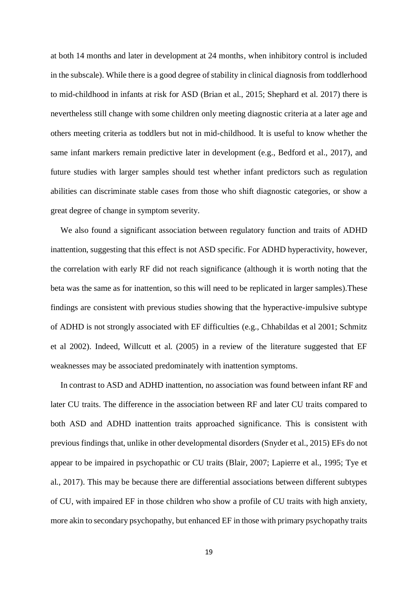at both 14 months and later in development at 24 months, when inhibitory control is included in the subscale). While there is a good degree of stability in clinical diagnosis from toddlerhood to mid-childhood in infants at risk for ASD (Brian et al., 2015; Shephard et al. 2017) there is nevertheless still change with some children only meeting diagnostic criteria at a later age and others meeting criteria as toddlers but not in mid-childhood. It is useful to know whether the same infant markers remain predictive later in development (e.g., Bedford et al., 2017), and future studies with larger samples should test whether infant predictors such as regulation abilities can discriminate stable cases from those who shift diagnostic categories, or show a great degree of change in symptom severity.

We also found a significant association between regulatory function and traits of ADHD inattention, suggesting that this effect is not ASD specific. For ADHD hyperactivity, however, the correlation with early RF did not reach significance (although it is worth noting that the beta was the same as for inattention, so this will need to be replicated in larger samples).These findings are consistent with previous studies showing that the hyperactive-impulsive subtype of ADHD is not strongly associated with EF difficulties (e.g., Chhabildas et al 2001; Schmitz et al 2002). Indeed, Willcutt et al. (2005) in a review of the literature suggested that EF weaknesses may be associated predominately with inattention symptoms.

In contrast to ASD and ADHD inattention, no association was found between infant RF and later CU traits. The difference in the association between RF and later CU traits compared to both ASD and ADHD inattention traits approached significance. This is consistent with previous findings that, unlike in other developmental disorders (Snyder et al., 2015) EFs do not appear to be impaired in psychopathic or CU traits (Blair, 2007; Lapierre et al., 1995; Tye et al., 2017). This may be because there are differential associations between different subtypes of CU, with impaired EF in those children who show a profile of CU traits with high anxiety, more akin to secondary psychopathy, but enhanced EF in those with primary psychopathy traits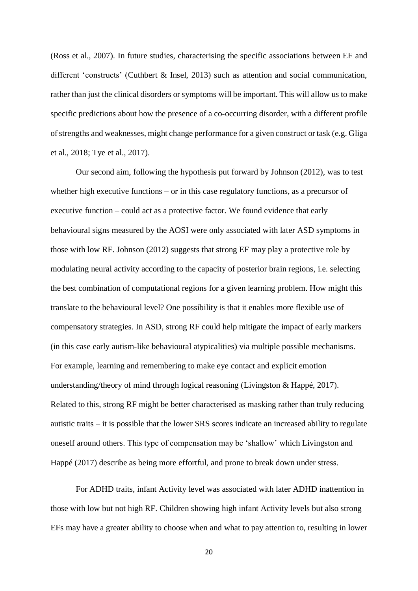(Ross et al., 2007). In future studies, characterising the specific associations between EF and different 'constructs' (Cuthbert & Insel, 2013) such as attention and social communication, rather than just the clinical disorders or symptoms will be important. This will allow us to make specific predictions about how the presence of a co-occurring disorder, with a different profile of strengths and weaknesses, might change performance for a given construct or task (e.g. Gliga et al., 2018; Tye et al., 2017).

Our second aim, following the hypothesis put forward by Johnson (2012), was to test whether high executive functions – or in this case regulatory functions, as a precursor of executive function – could act as a protective factor. We found evidence that early behavioural signs measured by the AOSI were only associated with later ASD symptoms in those with low RF. Johnson (2012) suggests that strong EF may play a protective role by modulating neural activity according to the capacity of posterior brain regions, i.e. selecting the best combination of computational regions for a given learning problem. How might this translate to the behavioural level? One possibility is that it enables more flexible use of compensatory strategies. In ASD, strong RF could help mitigate the impact of early markers (in this case early autism-like behavioural atypicalities) via multiple possible mechanisms. For example, learning and remembering to make eye contact and explicit emotion understanding/theory of mind through logical reasoning (Livingston & Happé, 2017). Related to this, strong RF might be better characterised as masking rather than truly reducing autistic traits – it is possible that the lower SRS scores indicate an increased ability to regulate oneself around others. This type of compensation may be 'shallow' which Livingston and Happé (2017) describe as being more effortful, and prone to break down under stress.

For ADHD traits, infant Activity level was associated with later ADHD inattention in those with low but not high RF. Children showing high infant Activity levels but also strong EFs may have a greater ability to choose when and what to pay attention to, resulting in lower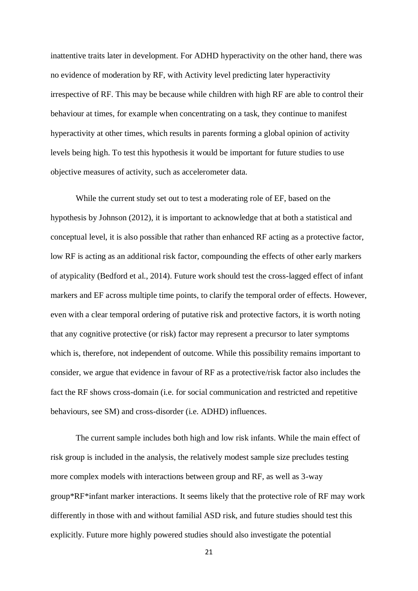inattentive traits later in development. For ADHD hyperactivity on the other hand, there was no evidence of moderation by RF, with Activity level predicting later hyperactivity irrespective of RF. This may be because while children with high RF are able to control their behaviour at times, for example when concentrating on a task, they continue to manifest hyperactivity at other times, which results in parents forming a global opinion of activity levels being high. To test this hypothesis it would be important for future studies to use objective measures of activity, such as accelerometer data.

While the current study set out to test a moderating role of EF, based on the hypothesis by Johnson (2012), it is important to acknowledge that at both a statistical and conceptual level, it is also possible that rather than enhanced RF acting as a protective factor, low RF is acting as an additional risk factor, compounding the effects of other early markers of atypicality (Bedford et al., 2014). Future work should test the cross-lagged effect of infant markers and EF across multiple time points, to clarify the temporal order of effects. However, even with a clear temporal ordering of putative risk and protective factors, it is worth noting that any cognitive protective (or risk) factor may represent a precursor to later symptoms which is, therefore, not independent of outcome. While this possibility remains important to consider, we argue that evidence in favour of RF as a protective/risk factor also includes the fact the RF shows cross-domain (i.e. for social communication and restricted and repetitive behaviours, see SM) and cross-disorder (i.e. ADHD) influences.

The current sample includes both high and low risk infants. While the main effect of risk group is included in the analysis, the relatively modest sample size precludes testing more complex models with interactions between group and RF, as well as 3-way group\*RF\*infant marker interactions. It seems likely that the protective role of RF may work differently in those with and without familial ASD risk, and future studies should test this explicitly. Future more highly powered studies should also investigate the potential

21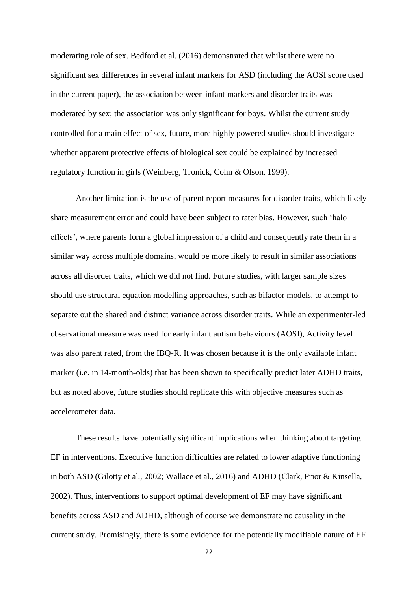moderating role of sex. Bedford et al. (2016) demonstrated that whilst there were no significant sex differences in several infant markers for ASD (including the AOSI score used in the current paper), the association between infant markers and disorder traits was moderated by sex; the association was only significant for boys. Whilst the current study controlled for a main effect of sex, future, more highly powered studies should investigate whether apparent protective effects of biological sex could be explained by increased regulatory function in girls (Weinberg, Tronick, Cohn & Olson, 1999).

Another limitation is the use of parent report measures for disorder traits, which likely share measurement error and could have been subject to rater bias. However, such 'halo effects', where parents form a global impression of a child and consequently rate them in a similar way across multiple domains, would be more likely to result in similar associations across all disorder traits, which we did not find. Future studies, with larger sample sizes should use structural equation modelling approaches, such as bifactor models, to attempt to separate out the shared and distinct variance across disorder traits. While an experimenter-led observational measure was used for early infant autism behaviours (AOSI), Activity level was also parent rated, from the IBQ-R. It was chosen because it is the only available infant marker (i.e. in 14-month-olds) that has been shown to specifically predict later ADHD traits, but as noted above, future studies should replicate this with objective measures such as accelerometer data.

These results have potentially significant implications when thinking about targeting EF in interventions. Executive function difficulties are related to lower adaptive functioning in both ASD (Gilotty et al., 2002; Wallace et al., 2016) and ADHD (Clark, Prior & Kinsella, 2002). Thus, interventions to support optimal development of EF may have significant benefits across ASD and ADHD, although of course we demonstrate no causality in the current study. Promisingly, there is some evidence for the potentially modifiable nature of EF

22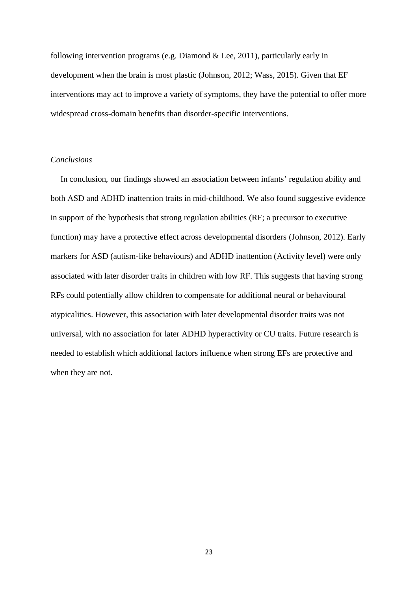following intervention programs (e.g. Diamond & Lee, 2011), particularly early in development when the brain is most plastic (Johnson, 2012; Wass, 2015). Given that EF interventions may act to improve a variety of symptoms, they have the potential to offer more widespread cross-domain benefits than disorder-specific interventions.

## *Conclusions*

In conclusion, our findings showed an association between infants' regulation ability and both ASD and ADHD inattention traits in mid-childhood. We also found suggestive evidence in support of the hypothesis that strong regulation abilities (RF; a precursor to executive function) may have a protective effect across developmental disorders (Johnson, 2012). Early markers for ASD (autism-like behaviours) and ADHD inattention (Activity level) were only associated with later disorder traits in children with low RF. This suggests that having strong RFs could potentially allow children to compensate for additional neural or behavioural atypicalities. However, this association with later developmental disorder traits was not universal, with no association for later ADHD hyperactivity or CU traits. Future research is needed to establish which additional factors influence when strong EFs are protective and when they are not.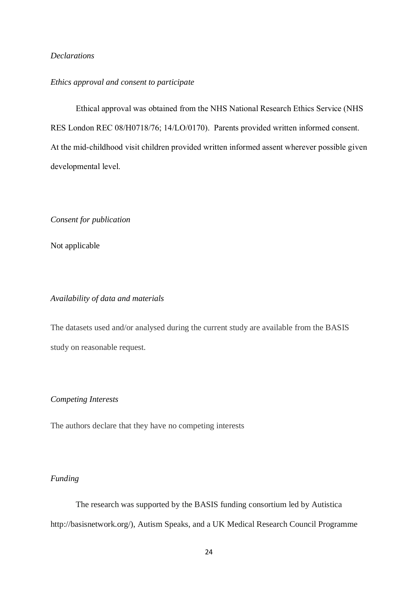# *Declarations*

# *Ethics approval and consent to participate*

Ethical approval was obtained from the NHS National Research Ethics Service (NHS RES London REC 08/H0718/76; 14/LO/0170). Parents provided written informed consent. At the mid-childhood visit children provided written informed assent wherever possible given developmental level.

*Consent for publication*

Not applicable

# *Availability of data and materials*

The datasets used and/or analysed during the current study are available from the BASIS study on reasonable request.

# *Competing Interests*

The authors declare that they have no competing interests

# *Funding*

The research was supported by the BASIS funding consortium led by Autistica http://basisnetwork.org/), Autism Speaks, and a UK Medical Research Council Programme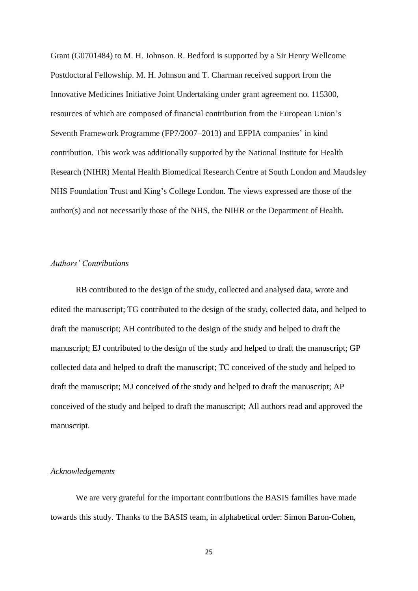Grant (G0701484) to M. H. Johnson. R. Bedford is supported by a Sir Henry Wellcome Postdoctoral Fellowship. M. H. Johnson and T. Charman received support from the Innovative Medicines Initiative Joint Undertaking under grant agreement no. 115300, resources of which are composed of financial contribution from the European Union's Seventh Framework Programme (FP7/2007–2013) and EFPIA companies' in kind contribution. This work was additionally supported by the National Institute for Health Research (NIHR) Mental Health Biomedical Research Centre at South London and Maudsley NHS Foundation Trust and King's College London. The views expressed are those of the author(s) and not necessarily those of the NHS, the NIHR or the Department of Health.

## *Authors' Contributions*

RB contributed to the design of the study, collected and analysed data, wrote and edited the manuscript; TG contributed to the design of the study, collected data, and helped to draft the manuscript; AH contributed to the design of the study and helped to draft the manuscript; EJ contributed to the design of the study and helped to draft the manuscript; GP collected data and helped to draft the manuscript; TC conceived of the study and helped to draft the manuscript; MJ conceived of the study and helped to draft the manuscript; AP conceived of the study and helped to draft the manuscript; All authors read and approved the manuscript.

## *Acknowledgements*

We are very grateful for the important contributions the BASIS families have made towards this study. Thanks to the BASIS team, in alphabetical order: Simon Baron-Cohen,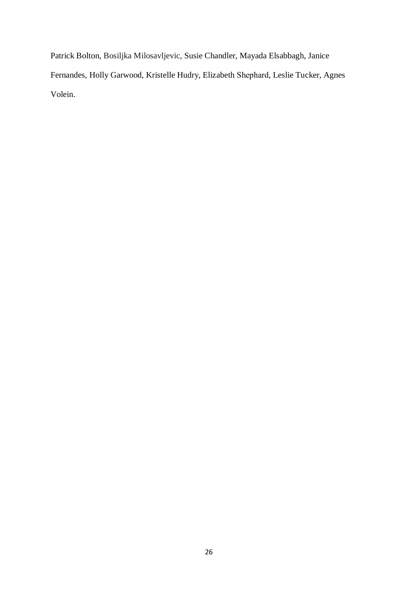Patrick Bolton, Bosiljka Milosavljevic, Susie Chandler, Mayada Elsabbagh, Janice Fernandes, Holly Garwood, Kristelle Hudry, Elizabeth Shephard, Leslie Tucker, Agnes Volein.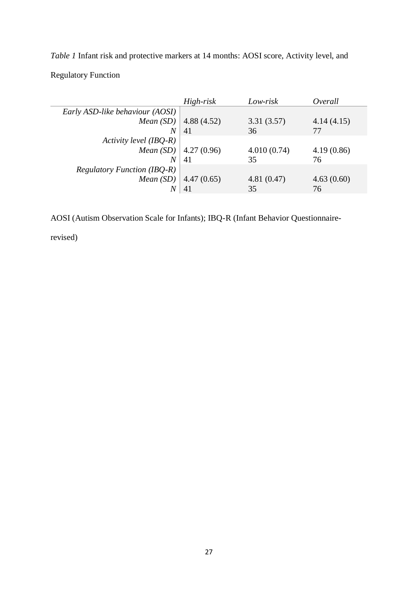*Table 1* Infant risk and protective markers at 14 months: AOSI score, Activity level, and Regulatory Function

|                                         | $High-risk$ | Low-risk    | Overall    |
|-----------------------------------------|-------------|-------------|------------|
| Early ASD-like behaviour (AOSI)         |             |             |            |
| <i>Mean</i> $(SD)$                      | 4.88(4.52)  | 3.31(3.57)  | 4.14(4.15) |
| N                                       | 41          | 36          | 77         |
| Activity level (IBQ-R)                  |             |             |            |
| <i>Mean</i> $(SD)$   4.27 $(0.96)$      |             | 4.010(0.74) | 4.19(0.86) |
| N                                       | 41          | 35          | 76         |
| <b>Regulatory Function (IBQ-R)</b>      |             |             |            |
| <i>Mean</i> ( <i>SD</i> )   4.47 (0.65) |             | 4.81(0.47)  | 4.63(0.60) |
|                                         | 41          | 35          | 76         |

AOSI (Autism Observation Scale for Infants); IBQ-R (Infant Behavior Questionnaire-

revised)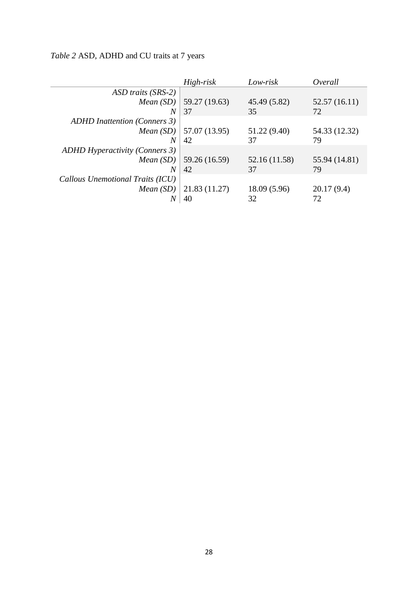|                                       | High-risk                                 | Low-risk      | Overall       |
|---------------------------------------|-------------------------------------------|---------------|---------------|
| ASD traits (SRS-2)                    |                                           |               |               |
| <i>Mean</i> $(SD)$                    | 59.27 (19.63)                             | 45.49 (5.82)  | 52.57(16.11)  |
| N                                     | 37                                        | 35            | 72            |
| <b>ADHD</b> Inattention (Conners 3)   |                                           |               |               |
|                                       | <i>Mean</i> ( <i>SD</i> )   57.07 (13.95) | 51.22 (9.40)  | 54.33 (12.32) |
| N                                     | 42                                        | 37            | 79            |
| <b>ADHD Hyperactivity (Conners 3)</b> |                                           |               |               |
| <i>Mean</i> $(SD)$                    | 59.26 (16.59)                             | 52.16 (11.58) | 55.94 (14.81) |
| $\overline{N}$                        | 42                                        | 37            | 79            |
| Callous Unemotional Traits (ICU)      |                                           |               |               |
| <i>Mean</i> $(SD)$                    | 21.83 (11.27)                             | 18.09 (5.96)  | 20.17(9.4)    |
|                                       | 40                                        | 32            | 72            |

*Table 2* ASD, ADHD and CU traits at 7 years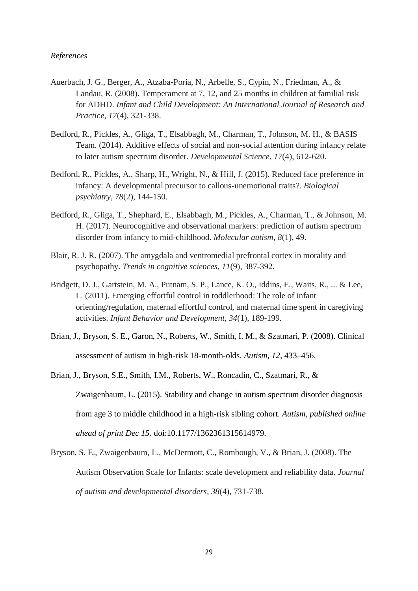## *References*

- Auerbach, J. G., Berger, A., Atzaba‐Poria, N., Arbelle, S., Cypin, N., Friedman, A., & Landau, R. (2008). Temperament at 7, 12, and 25 months in children at familial risk for ADHD. *Infant and Child Development: An International Journal of Research and Practice*, *17*(4), 321-338.
- Bedford, R., Pickles, A., Gliga, T., Elsabbagh, M., Charman, T., Johnson, M. H., & BASIS Team. (2014). Additive effects of social and non‐social attention during infancy relate to later autism spectrum disorder. *Developmental Science*, *17*(4), 612-620.
- Bedford, R., Pickles, A., Sharp, H., Wright, N., & Hill, J. (2015). Reduced face preference in infancy: A developmental precursor to callous-unemotional traits?. *Biological psychiatry*, *78*(2), 144-150.
- Bedford, R., Gliga, T., Shephard, E., Elsabbagh, M., Pickles, A., Charman, T., & Johnson, M. H. (2017). Neurocognitive and observational markers: prediction of autism spectrum disorder from infancy to mid-childhood. *Molecular autism*, *8*(1), 49.
- Blair, R. J. R. (2007). The amygdala and ventromedial prefrontal cortex in morality and psychopathy. *Trends in cognitive sciences*, *11*(9), 387-392.
- Bridgett, D. J., Gartstein, M. A., Putnam, S. P., Lance, K. O., Iddins, E., Waits, R., ... & Lee, L. (2011). Emerging effortful control in toddlerhood: The role of infant orienting/regulation, maternal effortful control, and maternal time spent in caregiving activities. *Infant Behavior and Development*, *34*(1), 189-199.
- Brian, J., Bryson, S. E., Garon, N., Roberts, W., Smith, I. M., & Szatmari, P. (2008). Clinical assessment of autism in high-risk 18-month-olds. *Autism, 12,* 433–456.
- Brian, J., Bryson, S.E., Smith, I.M., Roberts, W., Roncadin, C., Szatmari, R., & Zwaigenbaum, L. (2015). Stability and change in autism spectrum disorder diagnosis from age 3 to middle childhood in a high-risk sibling cohort. *Autism, published online ahead of print Dec 15.* doi:10.1177/1362361315614979.
- Bryson, S. E., Zwaigenbaum, L., McDermott, C., Rombough, V., & Brian, J. (2008). The Autism Observation Scale for Infants: scale development and reliability data. *Journal of autism and developmental disorders*, *38*(4), 731-738.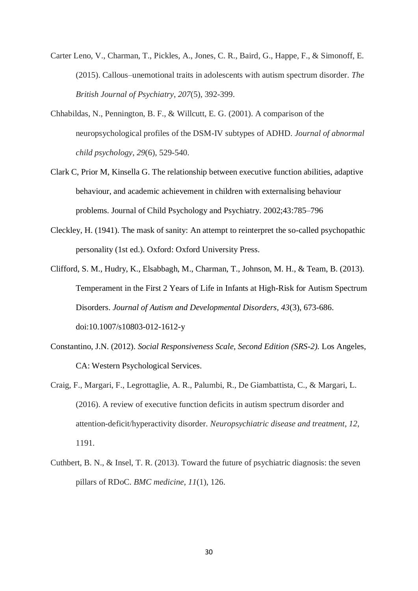Carter Leno, V., Charman, T., Pickles, A., Jones, C. R., Baird, G., Happe, F., & Simonoff, E. (2015). Callous–unemotional traits in adolescents with autism spectrum disorder. *The British Journal of Psychiatry*, *207*(5), 392-399.

- Chhabildas, N., Pennington, B. F., & Willcutt, E. G. (2001). A comparison of the neuropsychological profiles of the DSM-IV subtypes of ADHD. *Journal of abnormal child psychology*, *29*(6), 529-540.
- Clark C, Prior M, Kinsella G. The relationship between executive function abilities, adaptive behaviour, and academic achievement in children with externalising behaviour problems. Journal of Child Psychology and Psychiatry. 2002;43:785–796
- Cleckley, H. (1941). The mask of sanity: An attempt to reinterpret the so-called psychopathic personality (1st ed.). Oxford: Oxford University Press.
- Clifford, S. M., Hudry, K., Elsabbagh, M., Charman, T., Johnson, M. H., & Team, B. (2013). Temperament in the First 2 Years of Life in Infants at High-Risk for Autism Spectrum Disorders. *Journal of Autism and Developmental Disorders, 43*(3), 673-686. doi:10.1007/s10803-012-1612-y
- Constantino, J.N. (2012). *Social Responsiveness Scale, Second Edition (SRS-2).* Los Angeles, CA: Western Psychological Services.
- Craig, F., Margari, F., Legrottaglie, A. R., Palumbi, R., De Giambattista, C., & Margari, L. (2016). A review of executive function deficits in autism spectrum disorder and attention-deficit/hyperactivity disorder. *Neuropsychiatric disease and treatment*, *12*, 1191.
- Cuthbert, B. N., & Insel, T. R. (2013). Toward the future of psychiatric diagnosis: the seven pillars of RDoC. *BMC medicine*, *11*(1), 126.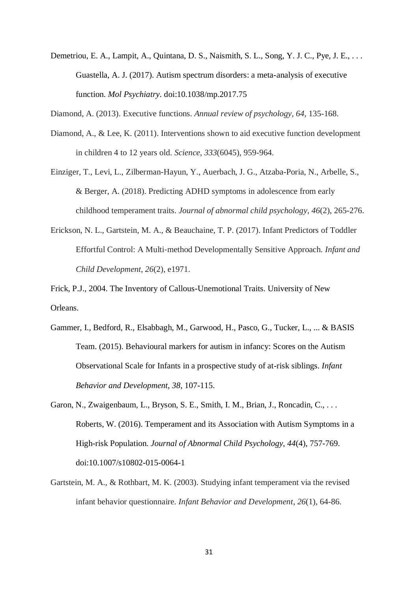Demetriou, E. A., Lampit, A., Quintana, D. S., Naismith, S. L., Song, Y. J. C., Pye, J. E., . . . Guastella, A. J. (2017). Autism spectrum disorders: a meta-analysis of executive function. *Mol Psychiatry*. doi:10.1038/mp.2017.75

Diamond, A. (2013). Executive functions. *Annual review of psychology*, *64*, 135-168.

- Diamond, A., & Lee, K. (2011). Interventions shown to aid executive function development in children 4 to 12 years old. *Science*, *333*(6045), 959-964.
- Einziger, T., Levi, L., Zilberman-Hayun, Y., Auerbach, J. G., Atzaba-Poria, N., Arbelle, S., & Berger, A. (2018). Predicting ADHD symptoms in adolescence from early childhood temperament traits. *Journal of abnormal child psychology*, *46*(2), 265-276.
- Erickson, N. L., Gartstein, M. A., & Beauchaine, T. P. (2017). Infant Predictors of Toddler Effortful Control: A Multi‐method Developmentally Sensitive Approach. *Infant and Child Development*, *26*(2), e1971.

Frick, P.J., 2004. The Inventory of Callous-Unemotional Traits. University of New Orleans.

- Gammer, I., Bedford, R., Elsabbagh, M., Garwood, H., Pasco, G., Tucker, L., ... & BASIS Team. (2015). Behavioural markers for autism in infancy: Scores on the Autism Observational Scale for Infants in a prospective study of at-risk siblings. *Infant Behavior and Development*, *38*, 107-115.
- Garon, N., Zwaigenbaum, L., Bryson, S. E., Smith, I. M., Brian, J., Roncadin, C., . . . Roberts, W. (2016). Temperament and its Association with Autism Symptoms in a High-risk Population. *Journal of Abnormal Child Psychology, 44*(4), 757-769. doi:10.1007/s10802-015-0064-1
- Gartstein, M. A., & Rothbart, M. K. (2003). Studying infant temperament via the revised infant behavior questionnaire. *Infant Behavior and Development*, *26*(1), 64-86.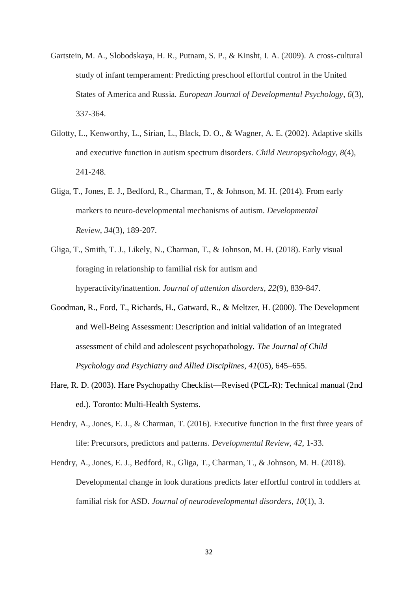- Gartstein, M. A., Slobodskaya, H. R., Putnam, S. P., & Kinsht, I. A. (2009). A cross-cultural study of infant temperament: Predicting preschool effortful control in the United States of America and Russia. *European Journal of Developmental Psychology*, *6*(3), 337-364.
- Gilotty, L., Kenworthy, L., Sirian, L., Black, D. O., & Wagner, A. E. (2002). Adaptive skills and executive function in autism spectrum disorders. *Child Neuropsychology*, *8*(4), 241-248.
- Gliga, T., Jones, E. J., Bedford, R., Charman, T., & Johnson, M. H. (2014). From early markers to neuro-developmental mechanisms of autism. *Developmental Review*, *34*(3), 189-207.
- Gliga, T., Smith, T. J., Likely, N., Charman, T., & Johnson, M. H. (2018). Early visual foraging in relationship to familial risk for autism and hyperactivity/inattention. *Journal of attention disorders*, *22*(9), 839-847.
- Goodman, R., Ford, T., Richards, H., Gatward, R., & Meltzer, H. (2000). The Development and Well-Being Assessment: Description and initial validation of an integrated assessment of child and adolescent psychopathology. *The Journal of Child Psychology and Psychiatry and Allied Disciplines*, *41*(05), 645–655.
- Hare, R. D. (2003). Hare Psychopathy Checklist—Revised (PCL-R): Technical manual (2nd ed.). Toronto: Multi-Health Systems.
- Hendry, A., Jones, E. J., & Charman, T. (2016). Executive function in the first three years of life: Precursors, predictors and patterns. *Developmental Review*, *42*, 1-33.
- Hendry, A., Jones, E. J., Bedford, R., Gliga, T., Charman, T., & Johnson, M. H. (2018). Developmental change in look durations predicts later effortful control in toddlers at familial risk for ASD. *Journal of neurodevelopmental disorders*, *10*(1), 3.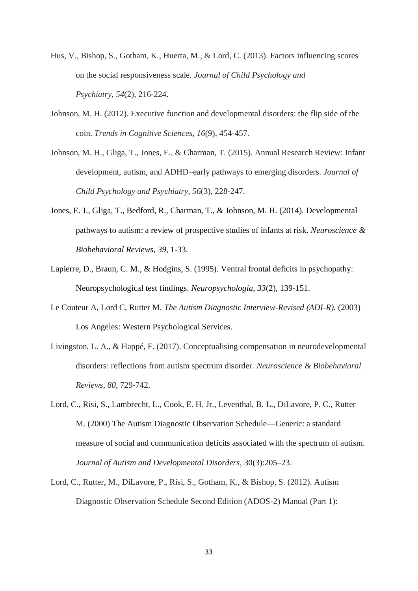- Hus, V., Bishop, S., Gotham, K., Huerta, M., & Lord, C. (2013). Factors influencing scores on the social responsiveness scale. *Journal of Child Psychology and Psychiatry*, *54*(2), 216-224.
- Johnson, M. H. (2012). Executive function and developmental disorders: the flip side of the coin. *Trends in Cognitive Sciences*, *16*(9), 454-457.
- Johnson, M. H., Gliga, T., Jones, E., & Charman, T. (2015). Annual Research Review: Infant development, autism, and ADHD–early pathways to emerging disorders. *Journal of Child Psychology and Psychiatry*, *56*(3), 228-247.
- Jones, E. J., Gliga, T., Bedford, R., Charman, T., & Johnson, M. H. (2014). Developmental pathways to autism: a review of prospective studies of infants at risk. *Neuroscience & Biobehavioral Reviews*, *39*, 1-33.
- Lapierre, D., Braun, C. M., & Hodgins, S. (1995). Ventral frontal deficits in psychopathy: Neuropsychological test findings. *Neuropsychologia, 33*(2), 139-151.
- Le Couteur A, Lord C, Rutter M. *The Autism Diagnostic Interview-Revised (ADI-R).* (2003) Los Angeles: Western Psychological Services.
- Livingston, L. A., & Happé, F. (2017). Conceptualising compensation in neurodevelopmental disorders: reflections from autism spectrum disorder. *Neuroscience & Biobehavioral Reviews*, *80*, 729-742.
- Lord, C., Risi, S., Lambrecht, L., Cook, E. H. Jr., Leventhal, B. L., DiLavore, P. C., Rutter M. (2000) The Autism Diagnostic Observation Schedule—Generic: a standard measure of social and communication deficits associated with the spectrum of autism. *Journal of Autism and Developmental Disorders,* 30(3):205–23.
- Lord, C., Rutter, M., DiLavore, P., Risi, S., Gotham, K., & Bishop, S. (2012). Autism Diagnostic Observation Schedule Second Edition (ADOS-2) Manual (Part 1):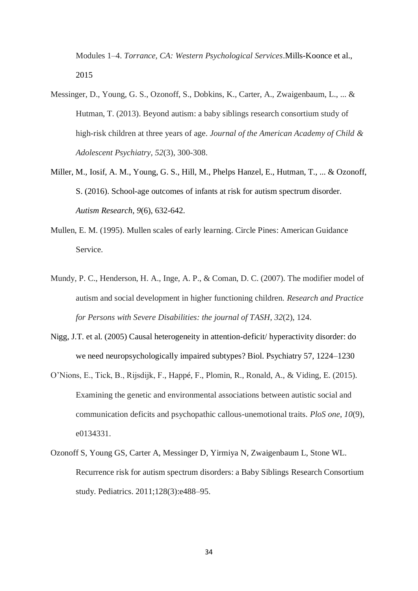Modules 1–4. *Torrance, CA: Western Psychological Services*.Mills-Koonce et al., 2015

- Messinger, D., Young, G. S., Ozonoff, S., Dobkins, K., Carter, A., Zwaigenbaum, L., ... & Hutman, T. (2013). Beyond autism: a baby siblings research consortium study of high-risk children at three years of age. *Journal of the American Academy of Child & Adolescent Psychiatry*, *52*(3), 300-308.
- Miller, M., Iosif, A. M., Young, G. S., Hill, M., Phelps Hanzel, E., Hutman, T., ... & Ozonoff, S. (2016). School-age outcomes of infants at risk for autism spectrum disorder. *Autism Research*, *9*(6), 632-642.
- Mullen, E. M. (1995). Mullen scales of early learning. Circle Pines: American Guidance Service.
- Mundy, P. C., Henderson, H. A., Inge, A. P., & Coman, D. C. (2007). The modifier model of autism and social development in higher functioning children. *Research and Practice for Persons with Severe Disabilities: the journal of TASH*, *32*(2), 124.
- Nigg, J.T. et al. (2005) Causal heterogeneity in attention-deficit/ hyperactivity disorder: do we need neuropsychologically impaired subtypes? Biol. Psychiatry 57, 1224–1230
- O'Nions, E., Tick, B., Rijsdijk, F., Happé, F., Plomin, R., Ronald, A., & Viding, E. (2015). Examining the genetic and environmental associations between autistic social and communication deficits and psychopathic callous-unemotional traits. *PloS one*, *10*(9), e0134331.
- Ozonoff S, Young GS, Carter A, Messinger D, Yirmiya N, Zwaigenbaum L, Stone WL. Recurrence risk for autism spectrum disorders: a Baby Siblings Research Consortium study. Pediatrics. 2011;128(3):e488–95.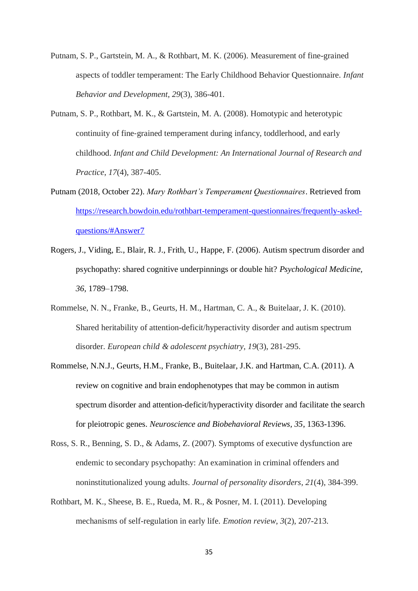- Putnam, S. P., Gartstein, M. A., & Rothbart, M. K. (2006). Measurement of fine-grained aspects of toddler temperament: The Early Childhood Behavior Questionnaire. *Infant Behavior and Development*, *29*(3), 386-401.
- Putnam, S. P., Rothbart, M. K., & Gartstein, M. A. (2008). Homotypic and heterotypic continuity of fine‐grained temperament during infancy, toddlerhood, and early childhood. *Infant and Child Development: An International Journal of Research and Practice*, *17*(4), 387-405.
- Putnam (2018, October 22). *Mary Rothbart's Temperament Questionnaires*. Retrieved from [https://research.bowdoin.edu/rothbart-temperament-questionnaires/frequently-asked](https://research.bowdoin.edu/rothbart-temperament-questionnaires/frequently-asked-questions/#Answer7)[questions/#Answer7](https://research.bowdoin.edu/rothbart-temperament-questionnaires/frequently-asked-questions/#Answer7)
- Rogers, J., Viding, E., Blair, R. J., Frith, U., Happe, F. (2006). Autism spectrum disorder and psychopathy: shared cognitive underpinnings or double hit? *Psychological Medicine, 36,* 1789–1798.
- Rommelse, N. N., Franke, B., Geurts, H. M., Hartman, C. A., & Buitelaar, J. K. (2010). Shared heritability of attention-deficit/hyperactivity disorder and autism spectrum disorder. *European child & adolescent psychiatry*, *19*(3), 281-295.
- Rommelse, N.N.J., Geurts, H.M., Franke, B., Buitelaar, J.K. and Hartman, C.A. (2011). A review on cognitive and brain endophenotypes that may be common in autism spectrum disorder and attention-deficit/hyperactivity disorder and facilitate the search for pleiotropic genes. *Neuroscience and Biobehavioral Reviews, 35*, 1363-1396.
- Ross, S. R., Benning, S. D., & Adams, Z. (2007). Symptoms of executive dysfunction are endemic to secondary psychopathy: An examination in criminal offenders and noninstitutionalized young adults. *Journal of personality disorders*, *21*(4), 384-399.
- Rothbart, M. K., Sheese, B. E., Rueda, M. R., & Posner, M. I. (2011). Developing mechanisms of self-regulation in early life. *Emotion review*, *3*(2), 207-213.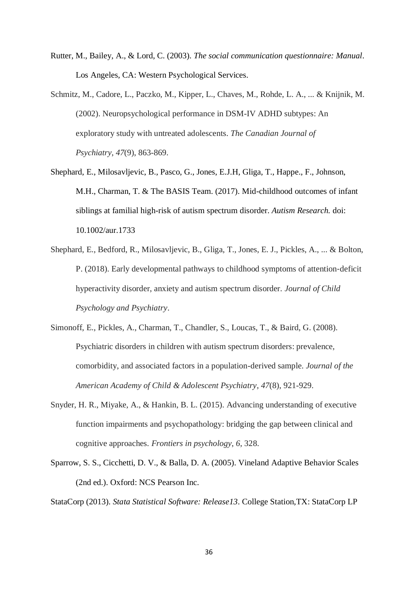- Rutter, M., Bailey, A., & Lord, C. (2003). *The social communication questionnaire: Manual*. Los Angeles, CA: Western Psychological Services.
- Schmitz, M., Cadore, L., Paczko, M., Kipper, L., Chaves, M., Rohde, L. A., ... & Knijnik, M. (2002). Neuropsychological performance in DSM-IV ADHD subtypes: An exploratory study with untreated adolescents. *The Canadian Journal of Psychiatry*, *47*(9), 863-869.
- Shephard, E., Milosavljevic, B., Pasco, G., Jones, E.J.H, Gliga, T., Happe., F., Johnson, M.H., Charman, T. & The BASIS Team. (2017). Mid-childhood outcomes of infant siblings at familial high-risk of autism spectrum disorder. *Autism Research.* doi: 10.1002/aur.1733
- Shephard, E., Bedford, R., Milosavljevic, B., Gliga, T., Jones, E. J., Pickles, A., ... & Bolton, P. (2018). Early developmental pathways to childhood symptoms of attention‐deficit hyperactivity disorder, anxiety and autism spectrum disorder. *Journal of Child Psychology and Psychiatry*.
- Simonoff, E., Pickles, A., Charman, T., Chandler, S., Loucas, T., & Baird, G. (2008). Psychiatric disorders in children with autism spectrum disorders: prevalence, comorbidity, and associated factors in a population-derived sample. *Journal of the American Academy of Child & Adolescent Psychiatry*, *47*(8), 921-929.
- Snyder, H. R., Miyake, A., & Hankin, B. L. (2015). Advancing understanding of executive function impairments and psychopathology: bridging the gap between clinical and cognitive approaches. *Frontiers in psychology*, *6*, 328.
- Sparrow, S. S., Cicchetti, D. V., & Balla, D. A. (2005). Vineland Adaptive Behavior Scales (2nd ed.). Oxford: NCS Pearson Inc.

StataCorp (2013). *Stata Statistical Software: Release13*. College Station,TX: StataCorp LP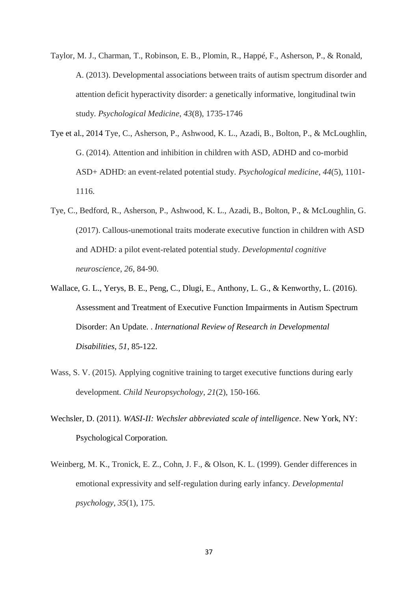- Taylor, M. J., Charman, T., Robinson, E. B., Plomin, R., Happé, F., Asherson, P., & Ronald, A. (2013). Developmental associations between traits of autism spectrum disorder and attention deficit hyperactivity disorder: a genetically informative, longitudinal twin study. *Psychological Medicine*, *43*(8), 1735-1746
- Tye et al., 2014 Tye, C., Asherson, P., Ashwood, K. L., Azadi, B., Bolton, P., & McLoughlin, G. (2014). Attention and inhibition in children with ASD, ADHD and co-morbid ASD+ ADHD: an event-related potential study. *Psychological medicine*, *44*(5), 1101- 1116.
- Tye, C., Bedford, R., Asherson, P., Ashwood, K. L., Azadi, B., Bolton, P., & McLoughlin, G. (2017). Callous-unemotional traits moderate executive function in children with ASD and ADHD: a pilot event-related potential study. *Developmental cognitive neuroscience*, *26*, 84-90.
- Wallace, G. L., Yerys, B. E., Peng, C., Dlugi, E., Anthony, L. G., & Kenworthy, L. (2016). Assessment and Treatment of Executive Function Impairments in Autism Spectrum Disorder: An Update. . *International Review of Research in Developmental Disabilities, 51*, 85-122.
- Wass, S. V. (2015). Applying cognitive training to target executive functions during early development. *Child Neuropsychology*, *21*(2), 150-166.
- Wechsler, D. (2011). *WASI-II: Wechsler abbreviated scale of intelligence*. New York, NY: Psychological Corporation.
- Weinberg, M. K., Tronick, E. Z., Cohn, J. F., & Olson, K. L. (1999). Gender differences in emotional expressivity and self-regulation during early infancy. *Developmental psychology*, *35*(1), 175.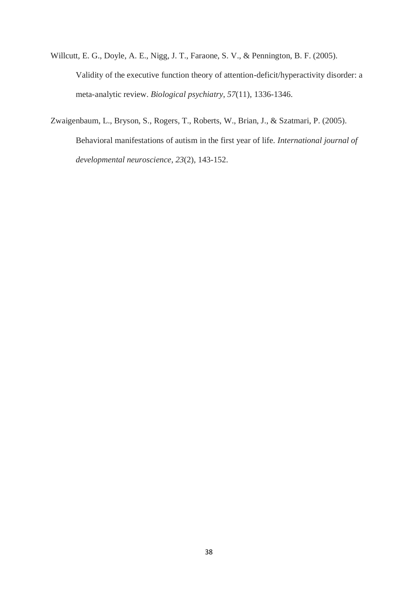- Willcutt, E. G., Doyle, A. E., Nigg, J. T., Faraone, S. V., & Pennington, B. F. (2005). Validity of the executive function theory of attention-deficit/hyperactivity disorder: a meta-analytic review. *Biological psychiatry*, *57*(11), 1336-1346.
- Zwaigenbaum, L., Bryson, S., Rogers, T., Roberts, W., Brian, J., & Szatmari, P. (2005). Behavioral manifestations of autism in the first year of life. *International journal of developmental neuroscience*, *23*(2), 143-152.